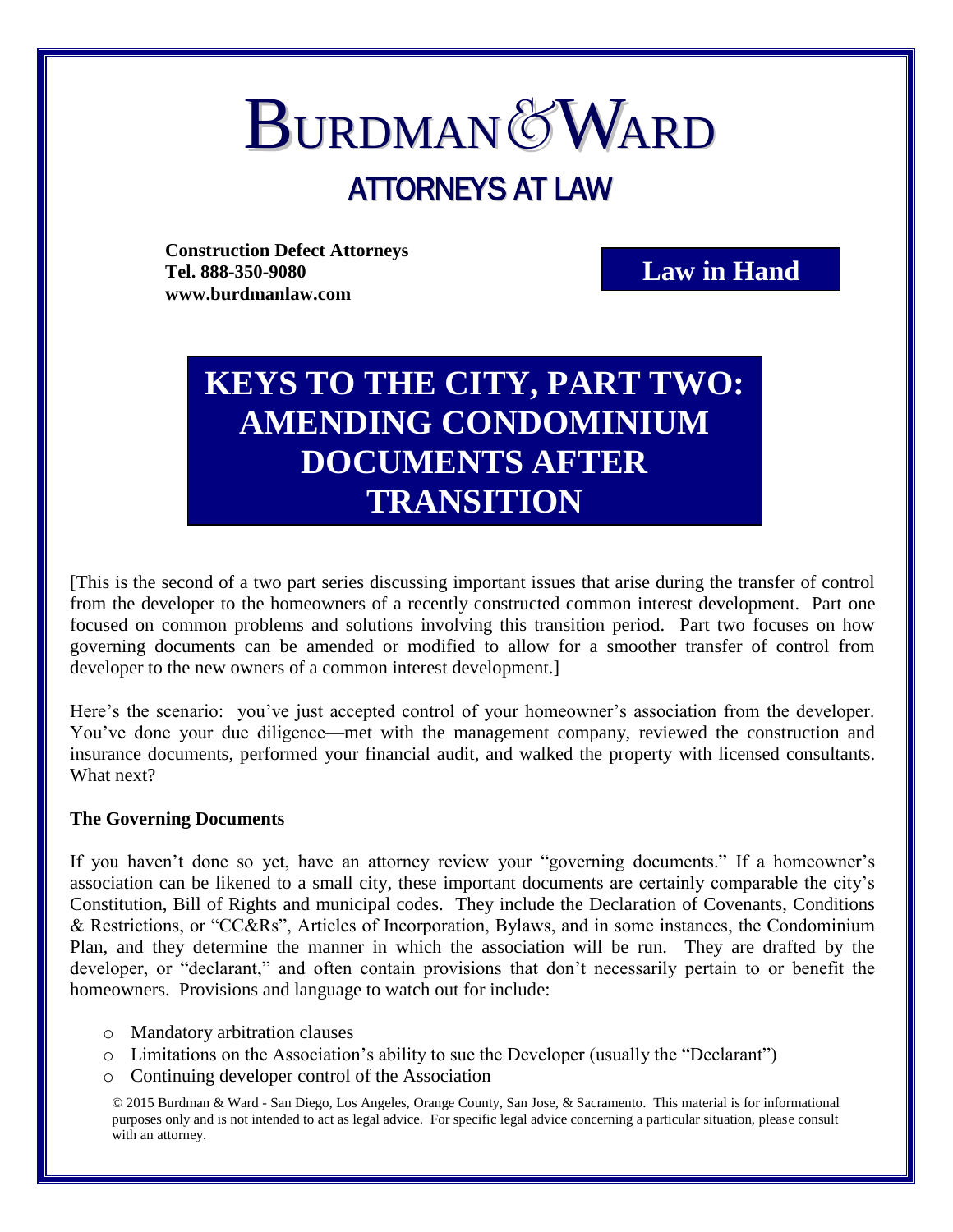# **BURDMAN&WARD** ATTORNEYS AT LAW

**Construction Defect Attorneys Tel. 888-350-9080 www.burdmanlaw.com**

**Law in Hand**

# **KEYS TO THE CITY, PART TWO: AMENDING CONDOMINIUM DOCUMENTS AFTER TRANSITION**

[This is the second of a two part series discussing important issues that arise during the transfer of control from the developer to the homeowners of a recently constructed common interest development. Part one focused on common problems and solutions involving this transition period. Part two focuses on how governing documents can be amended or modified to allow for a smoother transfer of control from developer to the new owners of a common interest development.]

Here's the scenario: you've just accepted control of your homeowner's association from the developer. You've done your due diligence—met with the management company, reviewed the construction and insurance documents, performed your financial audit, and walked the property with licensed consultants. What next?

#### **The Governing Documents**

If you haven't done so yet, have an attorney review your "governing documents." If a homeowner's association can be likened to a small city, these important documents are certainly comparable the city's Constitution, Bill of Rights and municipal codes. They include the Declaration of Covenants, Conditions & Restrictions, or "CC&Rs", Articles of Incorporation, Bylaws, and in some instances, the Condominium Plan, and they determine the manner in which the association will be run. They are drafted by the developer, or "declarant," and often contain provisions that don't necessarily pertain to or benefit the homeowners. Provisions and language to watch out for include:

- o Mandatory arbitration clauses
- o Limitations on the Association's ability to sue the Developer (usually the "Declarant")
- o Continuing developer control of the Association

© 2015 Burdman & Ward - San Diego, Los Angeles, Orange County, San Jose, & Sacramento. This material is for informational purposes only and is not intended to act as legal advice. For specific legal advice concerning a particular situation, please consult with an attorney.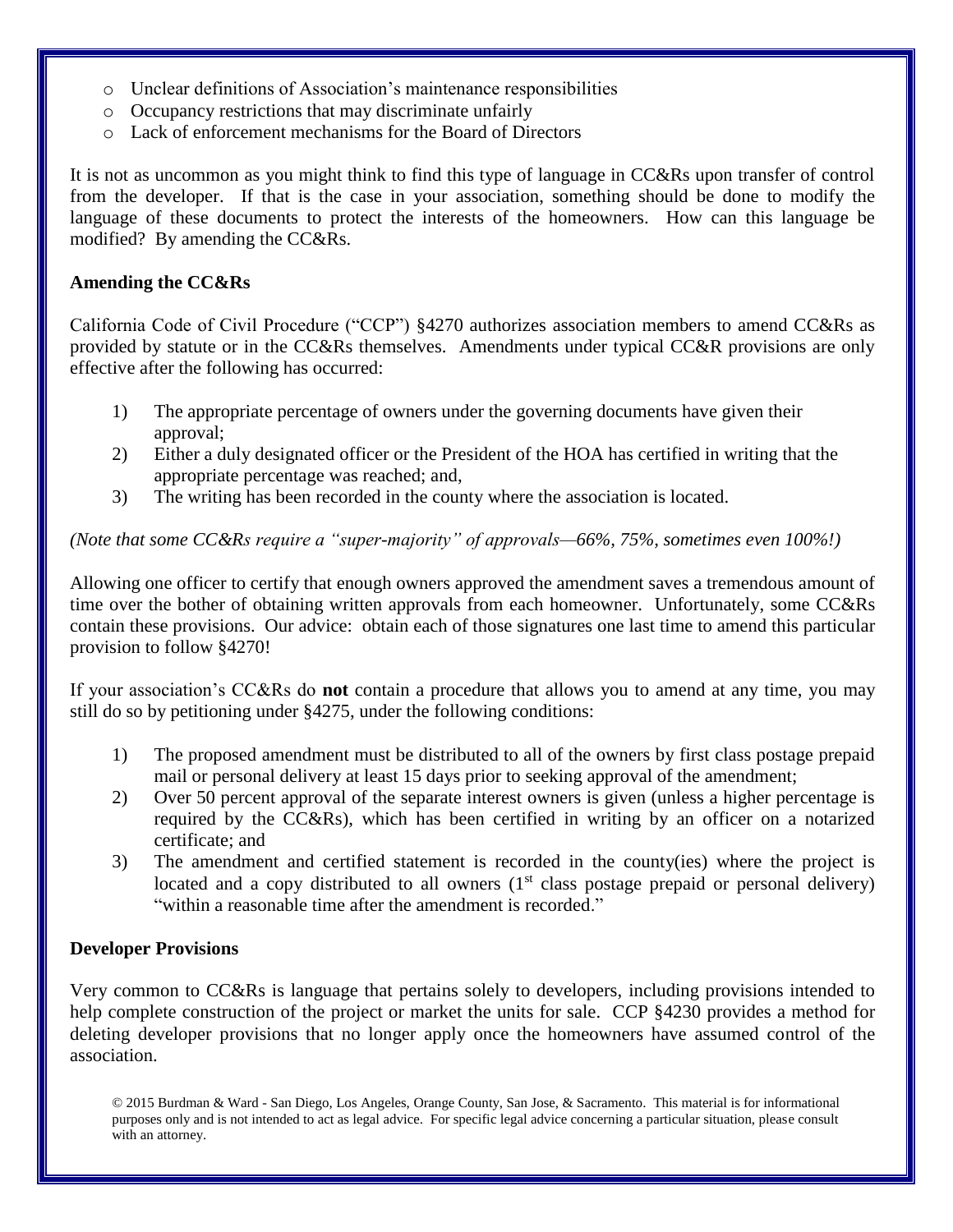- o Unclear definitions of Association's maintenance responsibilities
- o Occupancy restrictions that may discriminate unfairly
- o Lack of enforcement mechanisms for the Board of Directors

It is not as uncommon as you might think to find this type of language in CC&Rs upon transfer of control from the developer. If that is the case in your association, something should be done to modify the language of these documents to protect the interests of the homeowners. How can this language be modified? By amending the CC&Rs.

# **Amending the CC&Rs**

California Code of Civil Procedure ("CCP") §4270 authorizes association members to amend CC&Rs as provided by statute or in the CC&Rs themselves. Amendments under typical CC&R provisions are only effective after the following has occurred:

- 1) The appropriate percentage of owners under the governing documents have given their approval;
- 2) Either a duly designated officer or the President of the HOA has certified in writing that the appropriate percentage was reached; and,
- 3) The writing has been recorded in the county where the association is located.

*(Note that some CC&Rs require a "super-majority" of approvals—66%, 75%, sometimes even 100%!)*

Allowing one officer to certify that enough owners approved the amendment saves a tremendous amount of time over the bother of obtaining written approvals from each homeowner. Unfortunately, some CC&Rs contain these provisions. Our advice: obtain each of those signatures one last time to amend this particular provision to follow §4270!

If your association's CC&Rs do **not** contain a procedure that allows you to amend at any time, you may still do so by petitioning under §4275, under the following conditions:

- 1) The proposed amendment must be distributed to all of the owners by first class postage prepaid mail or personal delivery at least 15 days prior to seeking approval of the amendment;
- 2) Over 50 percent approval of the separate interest owners is given (unless a higher percentage is required by the CC&Rs), which has been certified in writing by an officer on a notarized certificate; and
- 3) The amendment and certified statement is recorded in the county(ies) where the project is located and a copy distributed to all owners  $(1<sup>st</sup>$  class postage prepaid or personal delivery) "within a reasonable time after the amendment is recorded."

# **Developer Provisions**

Very common to CC&Rs is language that pertains solely to developers, including provisions intended to help complete construction of the project or market the units for sale. CCP §4230 provides a method for deleting developer provisions that no longer apply once the homeowners have assumed control of the association.

© 2015 Burdman & Ward - San Diego, Los Angeles, Orange County, San Jose, & Sacramento. This material is for informational purposes only and is not intended to act as legal advice. For specific legal advice concerning a particular situation, please consult with an attorney.